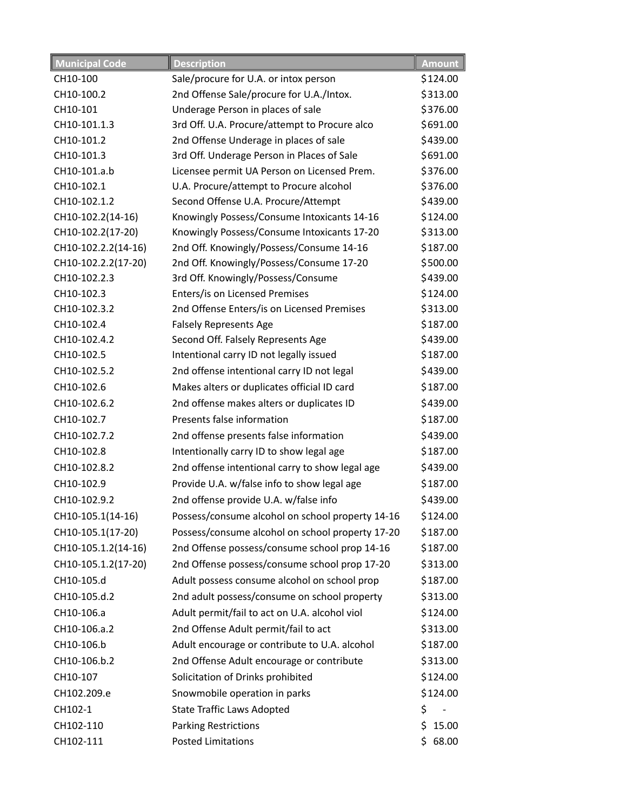| <b>Municipal Code</b> | <b>Description</b>                               | <b>Amount</b>        |
|-----------------------|--------------------------------------------------|----------------------|
| CH10-100              | Sale/procure for U.A. or intox person            | \$124.00             |
| CH10-100.2            | 2nd Offense Sale/procure for U.A./Intox.         | \$313.00             |
| CH10-101              | Underage Person in places of sale                | \$376.00             |
| CH10-101.1.3          | 3rd Off. U.A. Procure/attempt to Procure alco    | \$691.00             |
| CH10-101.2            | 2nd Offense Underage in places of sale           | \$439.00             |
| CH10-101.3            | 3rd Off. Underage Person in Places of Sale       | \$691.00             |
| CH10-101.a.b          | Licensee permit UA Person on Licensed Prem.      | \$376.00             |
| CH10-102.1            | U.A. Procure/attempt to Procure alcohol          | \$376.00             |
| CH10-102.1.2          | Second Offense U.A. Procure/Attempt              | \$439.00             |
| CH10-102.2(14-16)     | Knowingly Possess/Consume Intoxicants 14-16      | \$124.00             |
| CH10-102.2(17-20)     | Knowingly Possess/Consume Intoxicants 17-20      | \$313.00             |
| CH10-102.2.2(14-16)   | 2nd Off. Knowingly/Possess/Consume 14-16         | \$187.00             |
| CH10-102.2.2(17-20)   | 2nd Off. Knowingly/Possess/Consume 17-20         | \$500.00             |
| CH10-102.2.3          | 3rd Off. Knowingly/Possess/Consume               | \$439.00             |
| CH10-102.3            | Enters/is on Licensed Premises                   | \$124.00             |
| CH10-102.3.2          | 2nd Offense Enters/is on Licensed Premises       | \$313.00             |
| CH10-102.4            | <b>Falsely Represents Age</b>                    | \$187.00             |
| CH10-102.4.2          | Second Off. Falsely Represents Age               | \$439.00             |
| CH10-102.5            | Intentional carry ID not legally issued          | \$187.00             |
| CH10-102.5.2          | 2nd offense intentional carry ID not legal       | \$439.00             |
| CH10-102.6            | Makes alters or duplicates official ID card      | \$187.00             |
| CH10-102.6.2          | 2nd offense makes alters or duplicates ID        | \$439.00             |
| CH10-102.7            | Presents false information                       | \$187.00             |
| CH10-102.7.2          | 2nd offense presents false information           | \$439.00             |
| CH10-102.8            | Intentionally carry ID to show legal age         | \$187.00             |
| CH10-102.8.2          | 2nd offense intentional carry to show legal age  | \$439.00             |
| CH10-102.9            | Provide U.A. w/false info to show legal age      | \$187.00             |
| CH10-102.9.2          | 2nd offense provide U.A. w/false info            | \$439.00             |
| CH10-105.1(14-16)     | Possess/consume alcohol on school property 14-16 | \$124.00             |
| CH10-105.1(17-20)     | Possess/consume alcohol on school property 17-20 | \$187.00             |
| CH10-105.1.2(14-16)   | 2nd Offense possess/consume school prop 14-16    | \$187.00             |
| CH10-105.1.2(17-20)   | 2nd Offense possess/consume school prop 17-20    | \$313.00             |
| CH10-105.d            | Adult possess consume alcohol on school prop     | \$187.00             |
| CH10-105.d.2          | 2nd adult possess/consume on school property     | \$313.00             |
| CH10-106.a            | Adult permit/fail to act on U.A. alcohol viol    | \$124.00             |
| CH10-106.a.2          | 2nd Offense Adult permit/fail to act             | \$313.00             |
| CH10-106.b            | Adult encourage or contribute to U.A. alcohol    | \$187.00             |
| CH10-106.b.2          | 2nd Offense Adult encourage or contribute        | \$313.00             |
| CH10-107              | Solicitation of Drinks prohibited                | \$124.00             |
| CH102.209.e           | Snowmobile operation in parks                    | \$124.00             |
| CH102-1               | State Traffic Laws Adopted                       | \$<br>$\blacksquare$ |
| CH102-110             | <b>Parking Restrictions</b>                      | \$15.00              |
| CH102-111             | <b>Posted Limitations</b>                        | \$68.00              |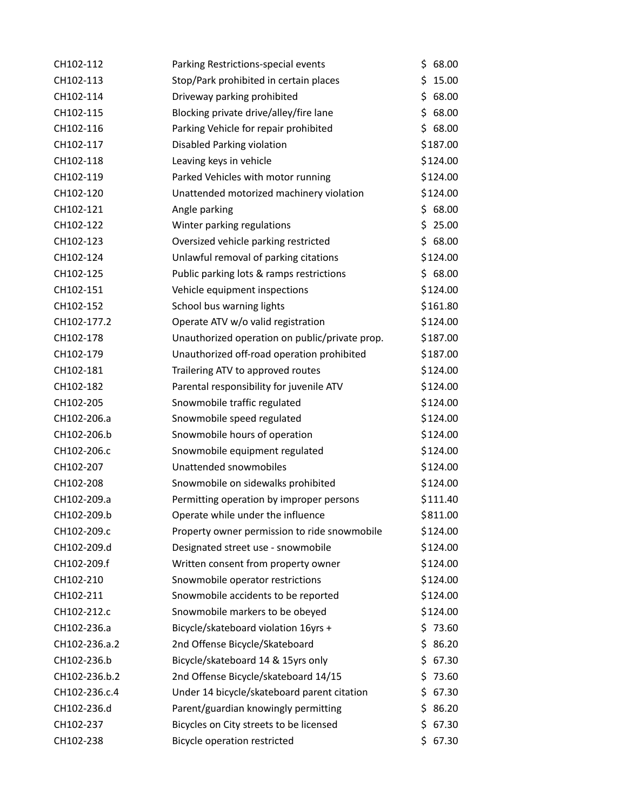| CH102-112     | Parking Restrictions-special events            | \$68.00     |
|---------------|------------------------------------------------|-------------|
| CH102-113     | Stop/Park prohibited in certain places         | \$<br>15.00 |
| CH102-114     | Driveway parking prohibited                    | \$68.00     |
| CH102-115     | Blocking private drive/alley/fire lane         | \$68.00     |
| CH102-116     | Parking Vehicle for repair prohibited          | \$68.00     |
| CH102-117     | Disabled Parking violation                     | \$187.00    |
| CH102-118     | Leaving keys in vehicle                        | \$124.00    |
| CH102-119     | Parked Vehicles with motor running             | \$124.00    |
| CH102-120     | Unattended motorized machinery violation       | \$124.00    |
| CH102-121     | Angle parking                                  | \$68.00     |
| CH102-122     | Winter parking regulations                     | \$25.00     |
| CH102-123     | Oversized vehicle parking restricted           | \$68.00     |
| CH102-124     | Unlawful removal of parking citations          | \$124.00    |
| CH102-125     | Public parking lots & ramps restrictions       | \$68.00     |
| CH102-151     | Vehicle equipment inspections                  | \$124.00    |
| CH102-152     | School bus warning lights                      | \$161.80    |
| CH102-177.2   | Operate ATV w/o valid registration             | \$124.00    |
| CH102-178     | Unauthorized operation on public/private prop. | \$187.00    |
| CH102-179     | Unauthorized off-road operation prohibited     | \$187.00    |
| CH102-181     | Trailering ATV to approved routes              | \$124.00    |
| CH102-182     | Parental responsibility for juvenile ATV       | \$124.00    |
| CH102-205     | Snowmobile traffic regulated                   | \$124.00    |
| CH102-206.a   | Snowmobile speed regulated                     | \$124.00    |
| CH102-206.b   | Snowmobile hours of operation                  | \$124.00    |
| CH102-206.c   | Snowmobile equipment regulated                 | \$124.00    |
| CH102-207     | Unattended snowmobiles                         | \$124.00    |
| CH102-208     | Snowmobile on sidewalks prohibited             | \$124.00    |
| CH102-209.a   | Permitting operation by improper persons       | \$111.40    |
| CH102-209.b   | Operate while under the influence              | \$811.00    |
| CH102-209.c   | Property owner permission to ride snowmobile   | \$124.00    |
| CH102-209.d   | Designated street use - snowmobile             | \$124.00    |
| CH102-209.f   | Written consent from property owner            | \$124.00    |
| CH102-210     | Snowmobile operator restrictions               | \$124.00    |
| CH102-211     | Snowmobile accidents to be reported            | \$124.00    |
| CH102-212.c   | Snowmobile markers to be obeyed                | \$124.00    |
| CH102-236.a   | Bicycle/skateboard violation 16yrs +           | \$73.60     |
| CH102-236.a.2 | 2nd Offense Bicycle/Skateboard                 | \$86.20     |
| CH102-236.b   | Bicycle/skateboard 14 & 15yrs only             | 67.30<br>Ś. |
| CH102-236.b.2 | 2nd Offense Bicycle/skateboard 14/15           | 73.60<br>Ś  |
| CH102-236.c.4 | Under 14 bicycle/skateboard parent citation    | 67.30<br>S  |
| CH102-236.d   | Parent/guardian knowingly permitting           | 86.20<br>S. |
| CH102-237     | Bicycles on City streets to be licensed        | 67.30<br>\$ |
| CH102-238     | Bicycle operation restricted                   | \$67.30     |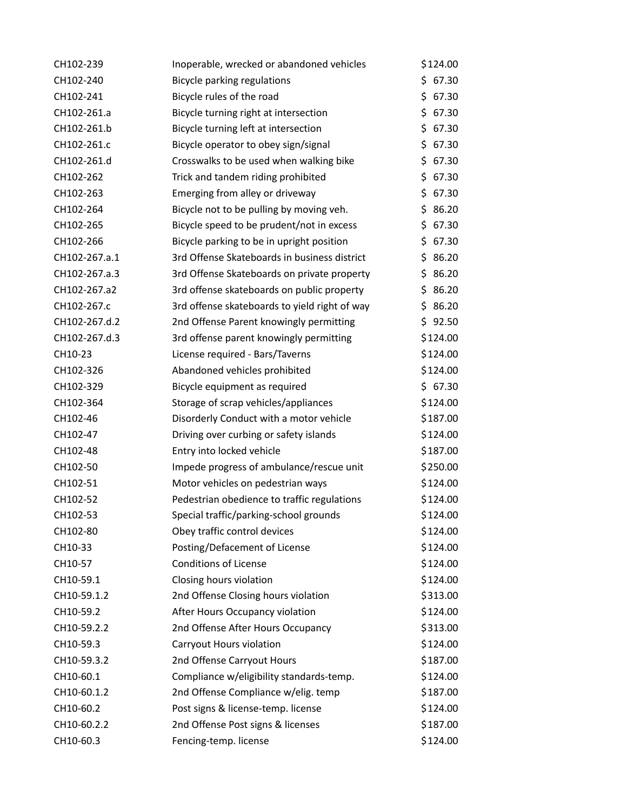| CH102-239     | Inoperable, wrecked or abandoned vehicles     | \$124.00     |
|---------------|-----------------------------------------------|--------------|
| CH102-240     | Bicycle parking regulations                   | \$67.30      |
| CH102-241     | Bicycle rules of the road                     | \$67.30      |
| CH102-261.a   | Bicycle turning right at intersection         | \$67.30      |
| CH102-261.b   | Bicycle turning left at intersection          | \$67.30      |
| CH102-261.c   | Bicycle operator to obey sign/signal          | \$.<br>67.30 |
| CH102-261.d   | Crosswalks to be used when walking bike       | \$67.30      |
| CH102-262     | Trick and tandem riding prohibited            | \$67.30      |
| CH102-263     | Emerging from alley or driveway               | \$.<br>67.30 |
| CH102-264     | Bicycle not to be pulling by moving veh.      | \$86.20      |
| CH102-265     | Bicycle speed to be prudent/not in excess     | \$67.30      |
| CH102-266     | Bicycle parking to be in upright position     | \$67.30      |
| CH102-267.a.1 | 3rd Offense Skateboards in business district  | \$86.20      |
| CH102-267.a.3 | 3rd Offense Skateboards on private property   | \$86.20      |
| CH102-267.a2  | 3rd offense skateboards on public property    | \$86.20      |
| CH102-267.c   | 3rd offense skateboards to yield right of way | \$86.20      |
| CH102-267.d.2 | 2nd Offense Parent knowingly permitting       | \$92.50      |
| CH102-267.d.3 | 3rd offense parent knowingly permitting       | \$124.00     |
| CH10-23       | License required - Bars/Taverns               | \$124.00     |
| CH102-326     | Abandoned vehicles prohibited                 | \$124.00     |
| CH102-329     | Bicycle equipment as required                 | \$67.30      |
| CH102-364     | Storage of scrap vehicles/appliances          | \$124.00     |
| CH102-46      | Disorderly Conduct with a motor vehicle       | \$187.00     |
| CH102-47      | Driving over curbing or safety islands        | \$124.00     |
| CH102-48      | Entry into locked vehicle                     | \$187.00     |
| CH102-50      | Impede progress of ambulance/rescue unit      | \$250.00     |
| CH102-51      | Motor vehicles on pedestrian ways             | \$124.00     |
| CH102-52      | Pedestrian obedience to traffic regulations   | \$124.00     |
| CH102-53      | Special traffic/parking-school grounds        | \$124.00     |
| CH102-80      | Obey traffic control devices                  | \$124.00     |
| CH10-33       | Posting/Defacement of License                 | \$124.00     |
| CH10-57       | <b>Conditions of License</b>                  | \$124.00     |
| CH10-59.1     | Closing hours violation                       | \$124.00     |
| CH10-59.1.2   | 2nd Offense Closing hours violation           | \$313.00     |
| CH10-59.2     | After Hours Occupancy violation               | \$124.00     |
| CH10-59.2.2   | 2nd Offense After Hours Occupancy             | \$313.00     |
| CH10-59.3     | Carryout Hours violation                      | \$124.00     |
| CH10-59.3.2   | 2nd Offense Carryout Hours                    | \$187.00     |
| CH10-60.1     | Compliance w/eligibility standards-temp.      | \$124.00     |
| CH10-60.1.2   | 2nd Offense Compliance w/elig. temp           | \$187.00     |
| CH10-60.2     | Post signs & license-temp. license            | \$124.00     |
| CH10-60.2.2   | 2nd Offense Post signs & licenses             | \$187.00     |
| CH10-60.3     | Fencing-temp. license                         | \$124.00     |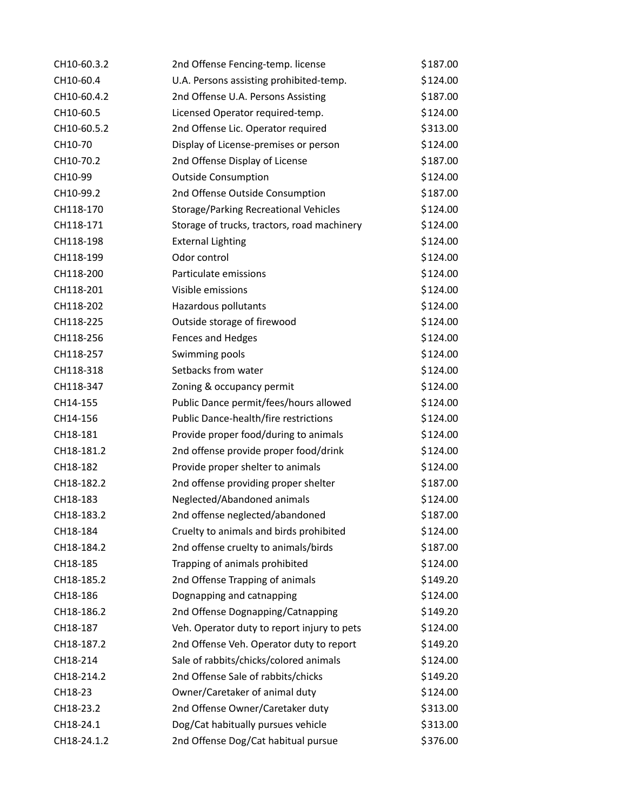| CH10-60.3.2 | 2nd Offense Fencing-temp. license           | \$187.00 |
|-------------|---------------------------------------------|----------|
| CH10-60.4   | U.A. Persons assisting prohibited-temp.     | \$124.00 |
| CH10-60.4.2 | 2nd Offense U.A. Persons Assisting          | \$187.00 |
| CH10-60.5   | Licensed Operator required-temp.            | \$124.00 |
| CH10-60.5.2 | 2nd Offense Lic. Operator required          | \$313.00 |
| CH10-70     | Display of License-premises or person       | \$124.00 |
| CH10-70.2   | 2nd Offense Display of License              | \$187.00 |
| CH10-99     | <b>Outside Consumption</b>                  | \$124.00 |
| CH10-99.2   | 2nd Offense Outside Consumption             | \$187.00 |
| CH118-170   | Storage/Parking Recreational Vehicles       | \$124.00 |
| CH118-171   | Storage of trucks, tractors, road machinery | \$124.00 |
| CH118-198   | <b>External Lighting</b>                    | \$124.00 |
| CH118-199   | Odor control                                | \$124.00 |
| CH118-200   | Particulate emissions                       | \$124.00 |
| CH118-201   | Visible emissions                           | \$124.00 |
| CH118-202   | Hazardous pollutants                        | \$124.00 |
| CH118-225   | Outside storage of firewood                 | \$124.00 |
| CH118-256   | Fences and Hedges                           | \$124.00 |
| CH118-257   | Swimming pools                              | \$124.00 |
| CH118-318   | Setbacks from water                         | \$124.00 |
| CH118-347   | Zoning & occupancy permit                   | \$124.00 |
| CH14-155    | Public Dance permit/fees/hours allowed      | \$124.00 |
| CH14-156    | Public Dance-health/fire restrictions       | \$124.00 |
| CH18-181    | Provide proper food/during to animals       | \$124.00 |
| CH18-181.2  | 2nd offense provide proper food/drink       | \$124.00 |
| CH18-182    | Provide proper shelter to animals           | \$124.00 |
| CH18-182.2  | 2nd offense providing proper shelter        | \$187.00 |
| CH18-183    | Neglected/Abandoned animals                 | \$124.00 |
| CH18-183.2  | 2nd offense neglected/abandoned             | \$187.00 |
| CH18-184    | Cruelty to animals and birds prohibited     | \$124.00 |
| CH18-184.2  | 2nd offense cruelty to animals/birds        | \$187.00 |
| CH18-185    | Trapping of animals prohibited              | \$124.00 |
| CH18-185.2  | 2nd Offense Trapping of animals             | \$149.20 |
| CH18-186    | Dognapping and catnapping                   | \$124.00 |
| CH18-186.2  | 2nd Offense Dognapping/Catnapping           | \$149.20 |
| CH18-187    | Veh. Operator duty to report injury to pets | \$124.00 |
| CH18-187.2  | 2nd Offense Veh. Operator duty to report    | \$149.20 |
| CH18-214    | Sale of rabbits/chicks/colored animals      | \$124.00 |
| CH18-214.2  | 2nd Offense Sale of rabbits/chicks          | \$149.20 |
| CH18-23     | Owner/Caretaker of animal duty              | \$124.00 |
| CH18-23.2   | 2nd Offense Owner/Caretaker duty            | \$313.00 |
| CH18-24.1   | Dog/Cat habitually pursues vehicle          | \$313.00 |
| CH18-24.1.2 | 2nd Offense Dog/Cat habitual pursue         | \$376.00 |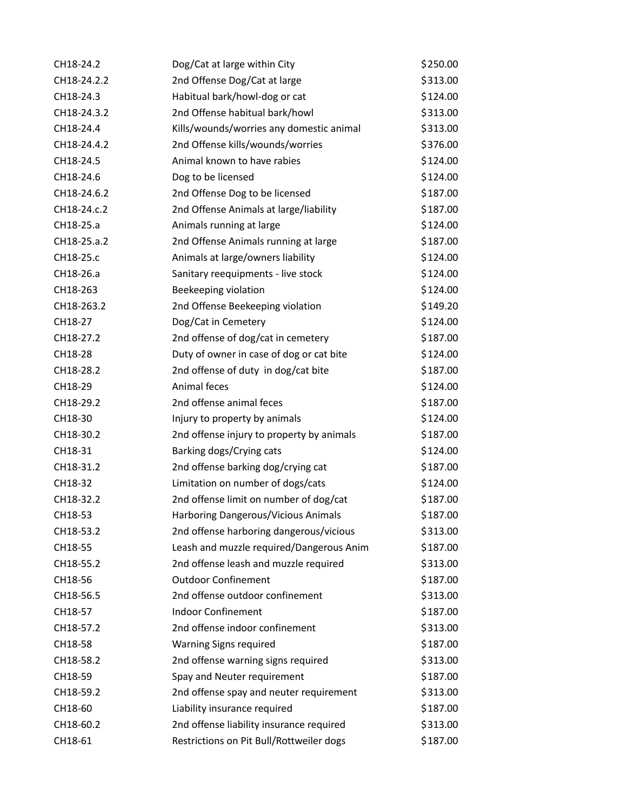| CH18-24.2   | Dog/Cat at large within City              | \$250.00 |
|-------------|-------------------------------------------|----------|
| CH18-24.2.2 | 2nd Offense Dog/Cat at large              | \$313.00 |
| CH18-24.3   | Habitual bark/howl-dog or cat             | \$124.00 |
| CH18-24.3.2 | 2nd Offense habitual bark/howl            | \$313.00 |
| CH18-24.4   | Kills/wounds/worries any domestic animal  | \$313.00 |
| CH18-24.4.2 | 2nd Offense kills/wounds/worries          | \$376.00 |
| CH18-24.5   | Animal known to have rabies               | \$124.00 |
| CH18-24.6   | Dog to be licensed                        | \$124.00 |
| CH18-24.6.2 | 2nd Offense Dog to be licensed            | \$187.00 |
| CH18-24.c.2 | 2nd Offense Animals at large/liability    | \$187.00 |
| CH18-25.a   | Animals running at large                  | \$124.00 |
| CH18-25.a.2 | 2nd Offense Animals running at large      | \$187.00 |
| CH18-25.c   | Animals at large/owners liability         | \$124.00 |
| CH18-26.a   | Sanitary reequipments - live stock        | \$124.00 |
| CH18-263    | Beekeeping violation                      | \$124.00 |
| CH18-263.2  | 2nd Offense Beekeeping violation          | \$149.20 |
| CH18-27     | Dog/Cat in Cemetery                       | \$124.00 |
| CH18-27.2   | 2nd offense of dog/cat in cemetery        | \$187.00 |
| CH18-28     | Duty of owner in case of dog or cat bite  | \$124.00 |
| CH18-28.2   | 2nd offense of duty in dog/cat bite       | \$187.00 |
| CH18-29     | Animal feces                              | \$124.00 |
| CH18-29.2   | 2nd offense animal feces                  | \$187.00 |
| CH18-30     | Injury to property by animals             | \$124.00 |
| CH18-30.2   | 2nd offense injury to property by animals | \$187.00 |
| CH18-31     | Barking dogs/Crying cats                  | \$124.00 |
| CH18-31.2   | 2nd offense barking dog/crying cat        | \$187.00 |
| CH18-32     | Limitation on number of dogs/cats         | \$124.00 |
| CH18-32.2   | 2nd offense limit on number of dog/cat    | \$187.00 |
| CH18-53     | Harboring Dangerous/Vicious Animals       | \$187.00 |
| CH18-53.2   | 2nd offense harboring dangerous/vicious   | \$313.00 |
| CH18-55     | Leash and muzzle required/Dangerous Anim  | \$187.00 |
| CH18-55.2   | 2nd offense leash and muzzle required     | \$313.00 |
| CH18-56     | <b>Outdoor Confinement</b>                | \$187.00 |
| CH18-56.5   | 2nd offense outdoor confinement           | \$313.00 |
| CH18-57     | <b>Indoor Confinement</b>                 | \$187.00 |
| CH18-57.2   | 2nd offense indoor confinement            | \$313.00 |
| CH18-58     | Warning Signs required                    | \$187.00 |
| CH18-58.2   | 2nd offense warning signs required        | \$313.00 |
| CH18-59     | Spay and Neuter requirement               | \$187.00 |
| CH18-59.2   | 2nd offense spay and neuter requirement   | \$313.00 |
| CH18-60     | Liability insurance required              | \$187.00 |
| CH18-60.2   | 2nd offense liability insurance required  | \$313.00 |
| CH18-61     | Restrictions on Pit Bull/Rottweiler dogs  | \$187.00 |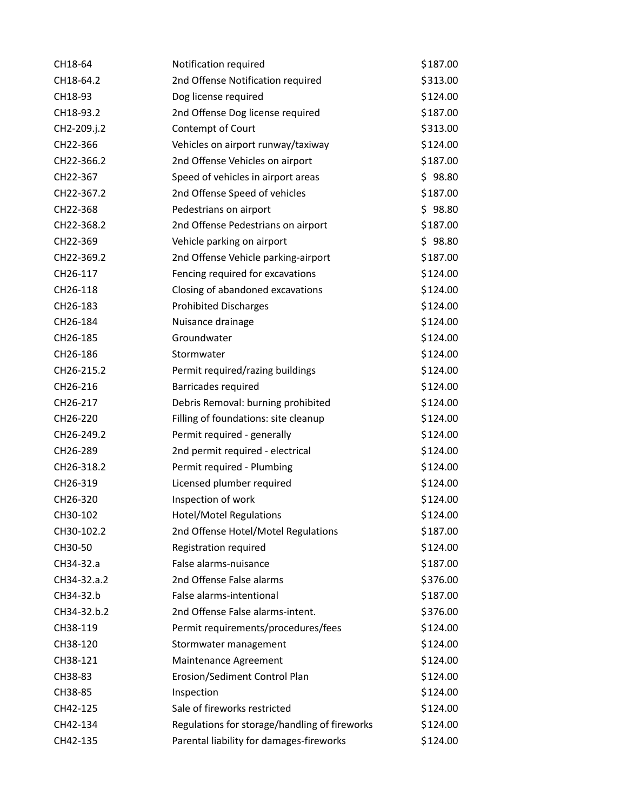| CH18-64     | Notification required                         | \$187.00 |
|-------------|-----------------------------------------------|----------|
| CH18-64.2   | 2nd Offense Notification required             | \$313.00 |
| CH18-93     | Dog license required                          | \$124.00 |
| CH18-93.2   | 2nd Offense Dog license required              | \$187.00 |
| CH2-209.j.2 | Contempt of Court                             | \$313.00 |
| CH22-366    | Vehicles on airport runway/taxiway            | \$124.00 |
| CH22-366.2  | 2nd Offense Vehicles on airport               | \$187.00 |
| CH22-367    | Speed of vehicles in airport areas            | \$98.80  |
| CH22-367.2  | 2nd Offense Speed of vehicles                 | \$187.00 |
| CH22-368    | Pedestrians on airport                        | \$98.80  |
| CH22-368.2  | 2nd Offense Pedestrians on airport            | \$187.00 |
| CH22-369    | Vehicle parking on airport                    | \$98.80  |
| CH22-369.2  | 2nd Offense Vehicle parking-airport           | \$187.00 |
| CH26-117    | Fencing required for excavations              | \$124.00 |
| CH26-118    | Closing of abandoned excavations              | \$124.00 |
| CH26-183    | <b>Prohibited Discharges</b>                  | \$124.00 |
| CH26-184    | Nuisance drainage                             | \$124.00 |
| CH26-185    | Groundwater                                   | \$124.00 |
| CH26-186    | Stormwater                                    | \$124.00 |
| CH26-215.2  | Permit required/razing buildings              | \$124.00 |
| CH26-216    | Barricades required                           | \$124.00 |
| CH26-217    | Debris Removal: burning prohibited            | \$124.00 |
| CH26-220    | Filling of foundations: site cleanup          | \$124.00 |
| CH26-249.2  | Permit required - generally                   | \$124.00 |
| CH26-289    | 2nd permit required - electrical              | \$124.00 |
| CH26-318.2  | Permit required - Plumbing                    | \$124.00 |
| CH26-319    | Licensed plumber required                     | \$124.00 |
| CH26-320    | Inspection of work                            | \$124.00 |
| CH30-102    | <b>Hotel/Motel Regulations</b>                | \$124.00 |
| CH30-102.2  | 2nd Offense Hotel/Motel Regulations           | \$187.00 |
| CH30-50     | Registration required                         | \$124.00 |
| CH34-32.a   | False alarms-nuisance                         | \$187.00 |
| CH34-32.a.2 | 2nd Offense False alarms                      | \$376.00 |
| CH34-32.b   | False alarms-intentional                      | \$187.00 |
| CH34-32.b.2 | 2nd Offense False alarms-intent.              | \$376.00 |
| CH38-119    | Permit requirements/procedures/fees           | \$124.00 |
| CH38-120    | Stormwater management                         | \$124.00 |
| CH38-121    | Maintenance Agreement                         | \$124.00 |
| CH38-83     | Erosion/Sediment Control Plan                 | \$124.00 |
| CH38-85     | Inspection                                    | \$124.00 |
| CH42-125    | Sale of fireworks restricted                  | \$124.00 |
| CH42-134    | Regulations for storage/handling of fireworks | \$124.00 |
| CH42-135    | Parental liability for damages-fireworks      | \$124.00 |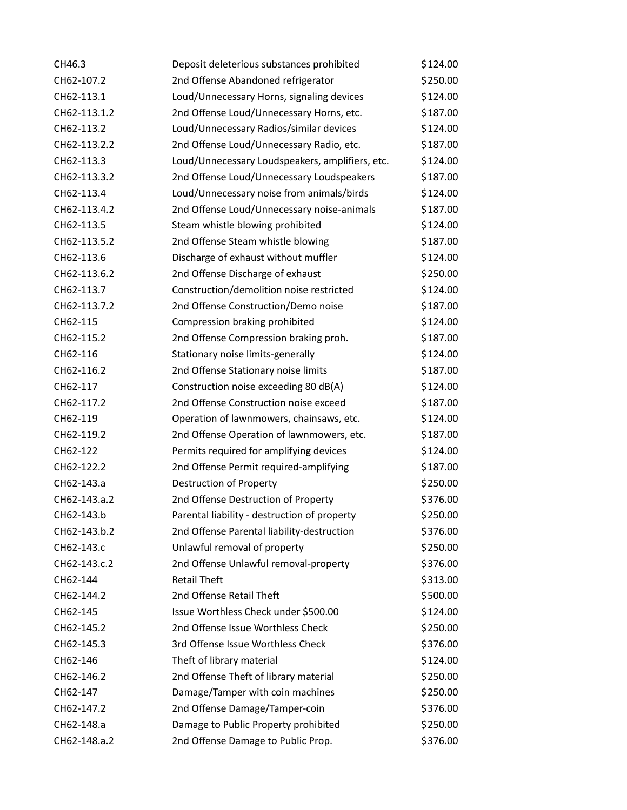| CH46.3       | Deposit deleterious substances prohibited       | \$124.00 |
|--------------|-------------------------------------------------|----------|
| CH62-107.2   | 2nd Offense Abandoned refrigerator              | \$250.00 |
| CH62-113.1   | Loud/Unnecessary Horns, signaling devices       | \$124.00 |
| CH62-113.1.2 | 2nd Offense Loud/Unnecessary Horns, etc.        | \$187.00 |
| CH62-113.2   | Loud/Unnecessary Radios/similar devices         | \$124.00 |
| CH62-113.2.2 | 2nd Offense Loud/Unnecessary Radio, etc.        | \$187.00 |
| CH62-113.3   | Loud/Unnecessary Loudspeakers, amplifiers, etc. | \$124.00 |
| CH62-113.3.2 | 2nd Offense Loud/Unnecessary Loudspeakers       | \$187.00 |
| CH62-113.4   | Loud/Unnecessary noise from animals/birds       | \$124.00 |
| CH62-113.4.2 | 2nd Offense Loud/Unnecessary noise-animals      | \$187.00 |
| CH62-113.5   | Steam whistle blowing prohibited                | \$124.00 |
| CH62-113.5.2 | 2nd Offense Steam whistle blowing               | \$187.00 |
| CH62-113.6   | Discharge of exhaust without muffler            | \$124.00 |
| CH62-113.6.2 | 2nd Offense Discharge of exhaust                | \$250.00 |
| CH62-113.7   | Construction/demolition noise restricted        | \$124.00 |
| CH62-113.7.2 | 2nd Offense Construction/Demo noise             | \$187.00 |
| CH62-115     | Compression braking prohibited                  | \$124.00 |
| CH62-115.2   | 2nd Offense Compression braking proh.           | \$187.00 |
| CH62-116     | Stationary noise limits-generally               | \$124.00 |
| CH62-116.2   | 2nd Offense Stationary noise limits             | \$187.00 |
| CH62-117     | Construction noise exceeding 80 dB(A)           | \$124.00 |
| CH62-117.2   | 2nd Offense Construction noise exceed           | \$187.00 |
| CH62-119     | Operation of lawnmowers, chainsaws, etc.        | \$124.00 |
| CH62-119.2   | 2nd Offense Operation of lawnmowers, etc.       | \$187.00 |
| CH62-122     | Permits required for amplifying devices         | \$124.00 |
| CH62-122.2   | 2nd Offense Permit required-amplifying          | \$187.00 |
| CH62-143.a   | <b>Destruction of Property</b>                  | \$250.00 |
| CH62-143.a.2 | 2nd Offense Destruction of Property             | \$376.00 |
| CH62-143.b   | Parental liability - destruction of property    | \$250.00 |
| CH62-143.b.2 | 2nd Offense Parental liability-destruction      | \$376.00 |
| CH62-143.c   | Unlawful removal of property                    | \$250.00 |
| CH62-143.c.2 | 2nd Offense Unlawful removal-property           | \$376.00 |
| CH62-144     | <b>Retail Theft</b>                             | \$313.00 |
| CH62-144.2   | 2nd Offense Retail Theft                        | \$500.00 |
| CH62-145     | Issue Worthless Check under \$500.00            | \$124.00 |
| CH62-145.2   | 2nd Offense Issue Worthless Check               | \$250.00 |
| CH62-145.3   | 3rd Offense Issue Worthless Check               | \$376.00 |
| CH62-146     | Theft of library material                       | \$124.00 |
| CH62-146.2   | 2nd Offense Theft of library material           | \$250.00 |
| CH62-147     | Damage/Tamper with coin machines                | \$250.00 |
| CH62-147.2   | 2nd Offense Damage/Tamper-coin                  | \$376.00 |
| CH62-148.a   | Damage to Public Property prohibited            | \$250.00 |
| CH62-148.a.2 | 2nd Offense Damage to Public Prop.              | \$376.00 |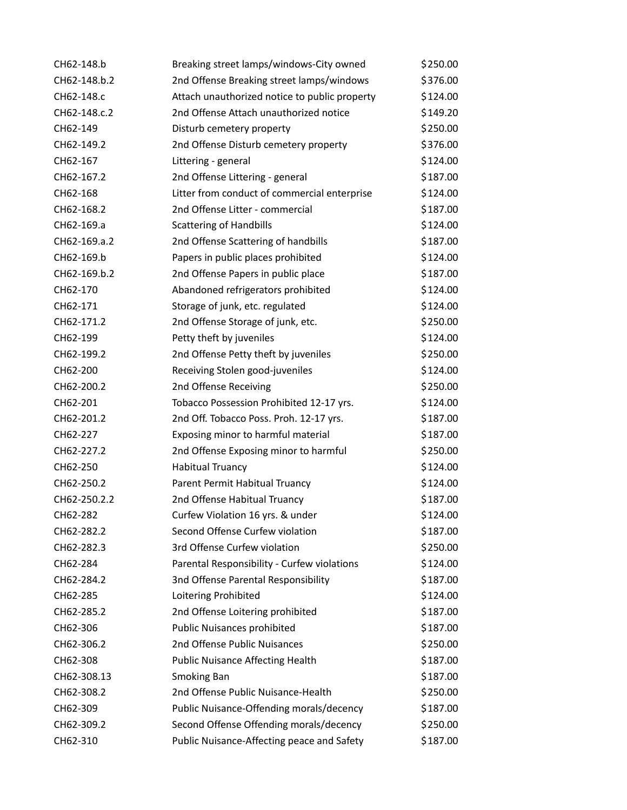| CH62-148.b   | Breaking street lamps/windows-City owned      | \$250.00 |
|--------------|-----------------------------------------------|----------|
| CH62-148.b.2 | 2nd Offense Breaking street lamps/windows     | \$376.00 |
| CH62-148.c   | Attach unauthorized notice to public property | \$124.00 |
| CH62-148.c.2 | 2nd Offense Attach unauthorized notice        | \$149.20 |
| CH62-149     | Disturb cemetery property                     | \$250.00 |
| CH62-149.2   | 2nd Offense Disturb cemetery property         | \$376.00 |
| CH62-167     | Littering - general                           | \$124.00 |
| CH62-167.2   | 2nd Offense Littering - general               | \$187.00 |
| CH62-168     | Litter from conduct of commercial enterprise  | \$124.00 |
| CH62-168.2   | 2nd Offense Litter - commercial               | \$187.00 |
| CH62-169.a   | <b>Scattering of Handbills</b>                | \$124.00 |
| CH62-169.a.2 | 2nd Offense Scattering of handbills           | \$187.00 |
| CH62-169.b   | Papers in public places prohibited            | \$124.00 |
| CH62-169.b.2 | 2nd Offense Papers in public place            | \$187.00 |
| CH62-170     | Abandoned refrigerators prohibited            | \$124.00 |
| CH62-171     | Storage of junk, etc. regulated               | \$124.00 |
| CH62-171.2   | 2nd Offense Storage of junk, etc.             | \$250.00 |
| CH62-199     | Petty theft by juveniles                      | \$124.00 |
| CH62-199.2   | 2nd Offense Petty theft by juveniles          | \$250.00 |
| CH62-200     | Receiving Stolen good-juveniles               | \$124.00 |
| CH62-200.2   | 2nd Offense Receiving                         | \$250.00 |
| CH62-201     | Tobacco Possession Prohibited 12-17 yrs.      | \$124.00 |
| CH62-201.2   | 2nd Off. Tobacco Poss. Proh. 12-17 yrs.       | \$187.00 |
| CH62-227     | Exposing minor to harmful material            | \$187.00 |
| CH62-227.2   | 2nd Offense Exposing minor to harmful         | \$250.00 |
| CH62-250     | <b>Habitual Truancy</b>                       | \$124.00 |
| CH62-250.2   | Parent Permit Habitual Truancy                | \$124.00 |
| CH62-250.2.2 | 2nd Offense Habitual Truancy                  | \$187.00 |
| CH62-282     | Curfew Violation 16 yrs. & under              | \$124.00 |
| CH62-282.2   | Second Offense Curfew violation               | \$187.00 |
| CH62-282.3   | 3rd Offense Curfew violation                  | \$250.00 |
| CH62-284     | Parental Responsibility - Curfew violations   | \$124.00 |
| CH62-284.2   | 3nd Offense Parental Responsibility           | \$187.00 |
| CH62-285     | Loitering Prohibited                          | \$124.00 |
| CH62-285.2   | 2nd Offense Loitering prohibited              | \$187.00 |
| CH62-306     | Public Nuisances prohibited                   | \$187.00 |
| CH62-306.2   | 2nd Offense Public Nuisances                  | \$250.00 |
| CH62-308     | <b>Public Nuisance Affecting Health</b>       | \$187.00 |
| CH62-308.13  | <b>Smoking Ban</b>                            | \$187.00 |
| CH62-308.2   | 2nd Offense Public Nuisance-Health            | \$250.00 |
| CH62-309     | Public Nuisance-Offending morals/decency      | \$187.00 |
| CH62-309.2   | Second Offense Offending morals/decency       | \$250.00 |
| CH62-310     | Public Nuisance-Affecting peace and Safety    | \$187.00 |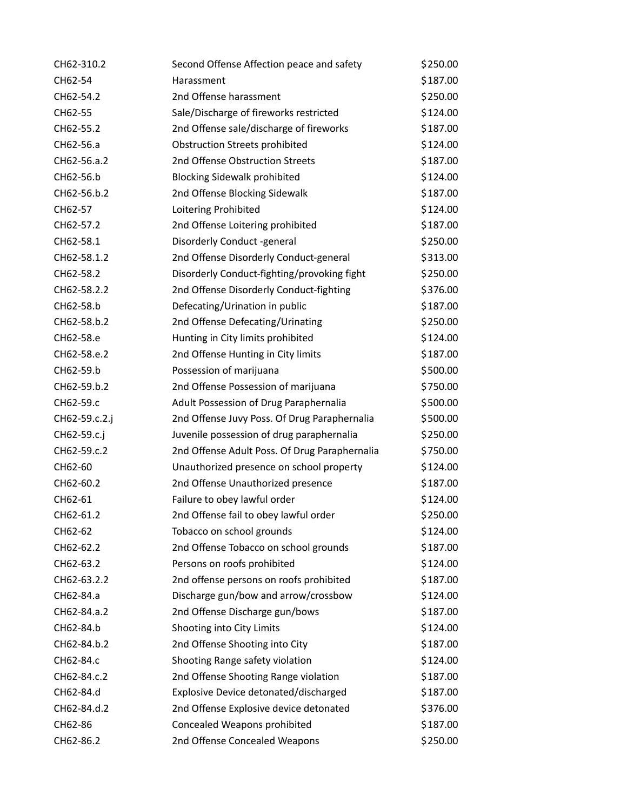| CH62-310.2    | Second Offense Affection peace and safety     | \$250.00 |
|---------------|-----------------------------------------------|----------|
| CH62-54       | Harassment                                    | \$187.00 |
| CH62-54.2     | 2nd Offense harassment                        | \$250.00 |
| CH62-55       | Sale/Discharge of fireworks restricted        | \$124.00 |
| CH62-55.2     | 2nd Offense sale/discharge of fireworks       | \$187.00 |
| CH62-56.a     | <b>Obstruction Streets prohibited</b>         | \$124.00 |
| CH62-56.a.2   | 2nd Offense Obstruction Streets               | \$187.00 |
| CH62-56.b     | <b>Blocking Sidewalk prohibited</b>           | \$124.00 |
| CH62-56.b.2   | 2nd Offense Blocking Sidewalk                 | \$187.00 |
| CH62-57       | Loitering Prohibited                          | \$124.00 |
| CH62-57.2     | 2nd Offense Loitering prohibited              | \$187.00 |
| CH62-58.1     | Disorderly Conduct -general                   | \$250.00 |
| CH62-58.1.2   | 2nd Offense Disorderly Conduct-general        | \$313.00 |
| CH62-58.2     | Disorderly Conduct-fighting/provoking fight   | \$250.00 |
| CH62-58.2.2   | 2nd Offense Disorderly Conduct-fighting       | \$376.00 |
| CH62-58.b     | Defecating/Urination in public                | \$187.00 |
| CH62-58.b.2   | 2nd Offense Defecating/Urinating              | \$250.00 |
| CH62-58.e     | Hunting in City limits prohibited             | \$124.00 |
| CH62-58.e.2   | 2nd Offense Hunting in City limits            | \$187.00 |
| CH62-59.b     | Possession of marijuana                       | \$500.00 |
| CH62-59.b.2   | 2nd Offense Possession of marijuana           | \$750.00 |
| CH62-59.c     | Adult Possession of Drug Paraphernalia        | \$500.00 |
| CH62-59.c.2.j | 2nd Offense Juvy Poss. Of Drug Paraphernalia  | \$500.00 |
| CH62-59.c.j   | Juvenile possession of drug paraphernalia     | \$250.00 |
| CH62-59.c.2   | 2nd Offense Adult Poss. Of Drug Paraphernalia | \$750.00 |
| CH62-60       | Unauthorized presence on school property      | \$124.00 |
| CH62-60.2     | 2nd Offense Unauthorized presence             | \$187.00 |
| CH62-61       | Failure to obey lawful order                  | \$124.00 |
| CH62-61.2     | 2nd Offense fail to obey lawful order         | \$250.00 |
| CH62-62       | Tobacco on school grounds                     | \$124.00 |
| CH62-62.2     | 2nd Offense Tobacco on school grounds         | \$187.00 |
| CH62-63.2     | Persons on roofs prohibited                   | \$124.00 |
| CH62-63.2.2   | 2nd offense persons on roofs prohibited       | \$187.00 |
| CH62-84.a     | Discharge gun/bow and arrow/crossbow          | \$124.00 |
| CH62-84.a.2   | 2nd Offense Discharge gun/bows                | \$187.00 |
| CH62-84.b     | Shooting into City Limits                     | \$124.00 |
| CH62-84.b.2   | 2nd Offense Shooting into City                | \$187.00 |
| CH62-84.c     | Shooting Range safety violation               | \$124.00 |
| CH62-84.c.2   | 2nd Offense Shooting Range violation          | \$187.00 |
| CH62-84.d     | Explosive Device detonated/discharged         | \$187.00 |
| CH62-84.d.2   | 2nd Offense Explosive device detonated        | \$376.00 |
| CH62-86       | Concealed Weapons prohibited                  | \$187.00 |
| CH62-86.2     | 2nd Offense Concealed Weapons                 | \$250.00 |